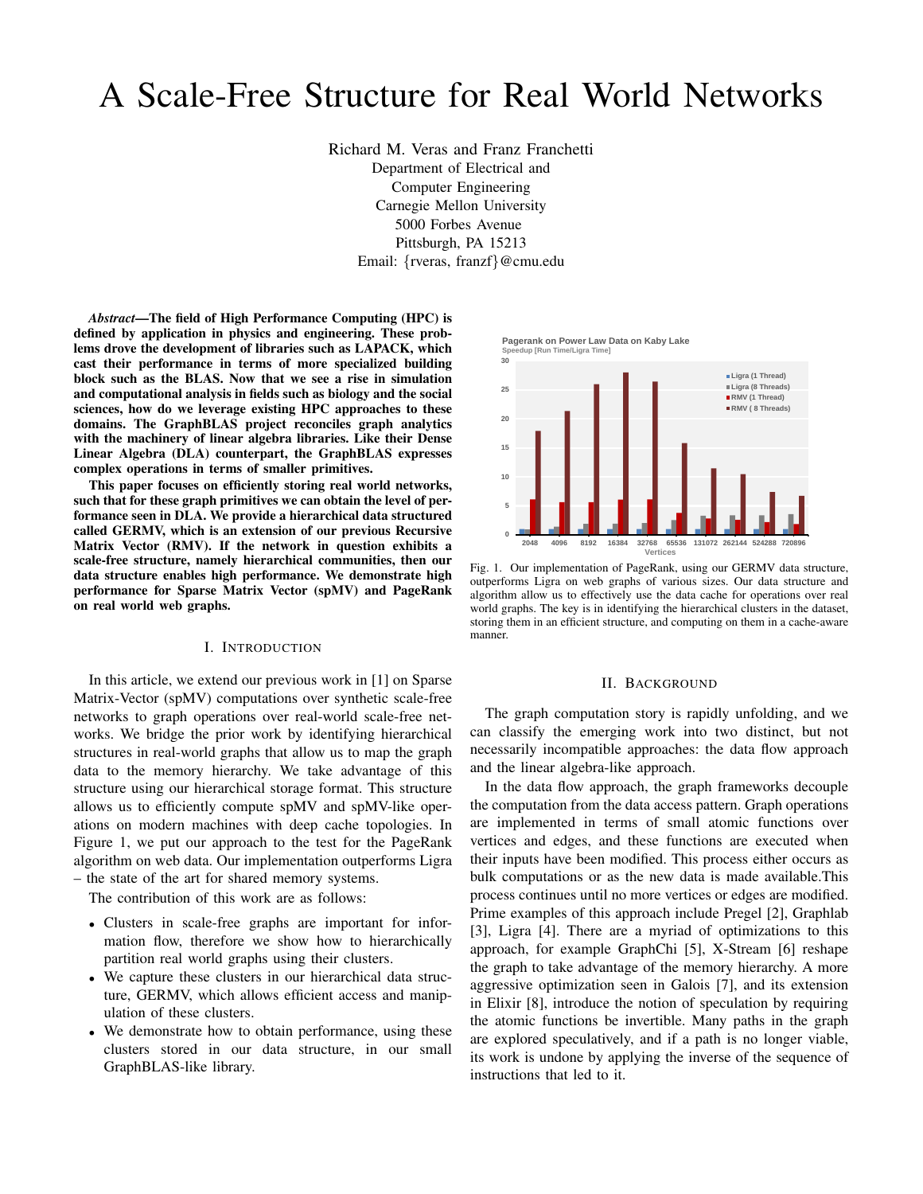# A Scale-Free Structure for Real World Networks

Richard M. Veras and Franz Franchetti Department of Electrical and Computer Engineering Carnegie Mellon University 5000 Forbes Avenue Pittsburgh, PA 15213 Email: {rveras, franzf}@cmu.edu

*Abstract*—The field of High Performance Computing (HPC) is defined by application in physics and engineering. These problems drove the development of libraries such as LAPACK, which cast their performance in terms of more specialized building block such as the BLAS. Now that we see a rise in simulation and computational analysis in fields such as biology and the social sciences, how do we leverage existing HPC approaches to these domains. The GraphBLAS project reconciles graph analytics with the machinery of linear algebra libraries. Like their Dense Linear Algebra (DLA) counterpart, the GraphBLAS expresses complex operations in terms of smaller primitives.

This paper focuses on efficiently storing real world networks, such that for these graph primitives we can obtain the level of performance seen in DLA. We provide a hierarchical data structured called GERMV, which is an extension of our previous Recursive Matrix Vector (RMV). If the network in question exhibits a scale-free structure, namely hierarchical communities, then our data structure enables high performance. We demonstrate high performance for Sparse Matrix Vector (spMV) and PageRank on real world web graphs.

### I. INTRODUCTION

In this article, we extend our previous work in [1] on Sparse Matrix-Vector (spMV) computations over synthetic scale-free networks to graph operations over real-world scale-free networks. We bridge the prior work by identifying hierarchical structures in real-world graphs that allow us to map the graph data to the memory hierarchy. We take advantage of this structure using our hierarchical storage format. This structure allows us to efficiently compute spMV and spMV-like operations on modern machines with deep cache topologies. In Figure 1, we put our approach to the test for the PageRank algorithm on web data. Our implementation outperforms Ligra – the state of the art for shared memory systems.

The contribution of this work are as follows:

- Clusters in scale-free graphs are important for information flow, therefore we show how to hierarchically partition real world graphs using their clusters.
- We capture these clusters in our hierarchical data structure, GERMV, which allows efficient access and manipulation of these clusters.
- We demonstrate how to obtain performance, using these clusters stored in our data structure, in our small GraphBLAS-like library.

**Pagerank on Power Law Data on Kaby Lake**



Fig. 1. Our implementation of PageRank, using our GERMV data structure, outperforms Ligra on web graphs of various sizes. Our data structure and algorithm allow us to effectively use the data cache for operations over real world graphs. The key is in identifying the hierarchical clusters in the dataset, storing them in an efficient structure, and computing on them in a cache-aware manner.

### II. BACKGROUND

The graph computation story is rapidly unfolding, and we can classify the emerging work into two distinct, but not necessarily incompatible approaches: the data flow approach and the linear algebra-like approach.

In the data flow approach, the graph frameworks decouple the computation from the data access pattern. Graph operations are implemented in terms of small atomic functions over vertices and edges, and these functions are executed when their inputs have been modified. This process either occurs as bulk computations or as the new data is made available.This process continues until no more vertices or edges are modified. Prime examples of this approach include Pregel [2], Graphlab [3], Ligra [4]. There are a myriad of optimizations to this approach, for example GraphChi [5], X-Stream [6] reshape the graph to take advantage of the memory hierarchy. A more aggressive optimization seen in Galois [7], and its extension in Elixir [8], introduce the notion of speculation by requiring the atomic functions be invertible. Many paths in the graph are explored speculatively, and if a path is no longer viable, its work is undone by applying the inverse of the sequence of instructions that led to it.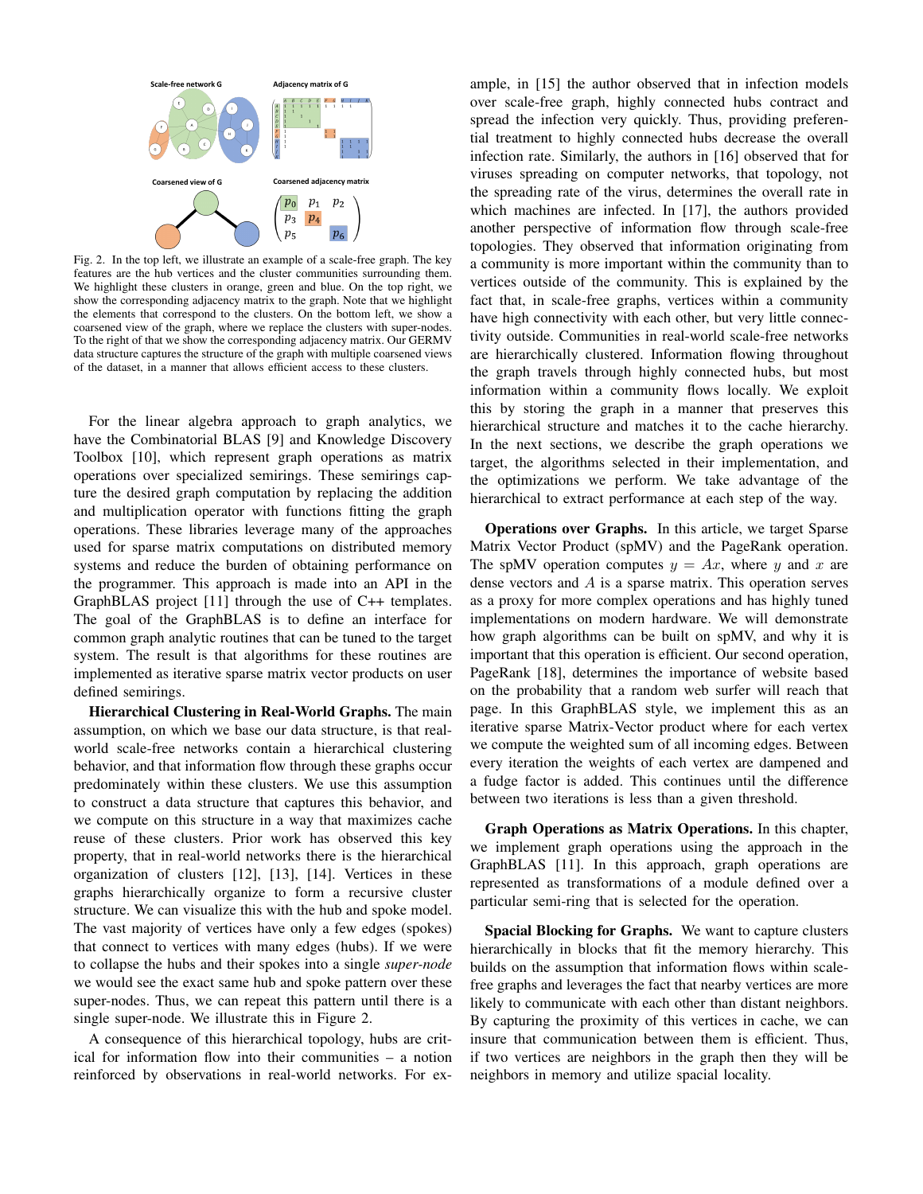

Fig. 2. In the top left, we illustrate an example of a scale-free graph. The key features are the hub vertices and the cluster communities surrounding them. We highlight these clusters in orange, green and blue. On the top right, we show the corresponding adjacency matrix to the graph. Note that we highlight the elements that correspond to the clusters. On the bottom left, we show a coarsened view of the graph, where we replace the clusters with super-nodes. To the right of that we show the corresponding adjacency matrix. Our GERMV data structure captures the structure of the graph with multiple coarsened views of the dataset, in a manner that allows efficient access to these clusters.

For the linear algebra approach to graph analytics, we have the Combinatorial BLAS [9] and Knowledge Discovery Toolbox [10], which represent graph operations as matrix operations over specialized semirings. These semirings capture the desired graph computation by replacing the addition and multiplication operator with functions fitting the graph operations. These libraries leverage many of the approaches used for sparse matrix computations on distributed memory systems and reduce the burden of obtaining performance on the programmer. This approach is made into an API in the GraphBLAS project [11] through the use of C++ templates. The goal of the GraphBLAS is to define an interface for common graph analytic routines that can be tuned to the target system. The result is that algorithms for these routines are implemented as iterative sparse matrix vector products on user defined semirings.

Hierarchical Clustering in Real-World Graphs. The main assumption, on which we base our data structure, is that realworld scale-free networks contain a hierarchical clustering behavior, and that information flow through these graphs occur predominately within these clusters. We use this assumption to construct a data structure that captures this behavior, and we compute on this structure in a way that maximizes cache reuse of these clusters. Prior work has observed this key property, that in real-world networks there is the hierarchical organization of clusters [12], [13], [14]. Vertices in these graphs hierarchically organize to form a recursive cluster structure. We can visualize this with the hub and spoke model. The vast majority of vertices have only a few edges (spokes) that connect to vertices with many edges (hubs). If we were to collapse the hubs and their spokes into a single *super-node* we would see the exact same hub and spoke pattern over these super-nodes. Thus, we can repeat this pattern until there is a single super-node. We illustrate this in Figure 2.

A consequence of this hierarchical topology, hubs are critical for information flow into their communities – a notion reinforced by observations in real-world networks. For example, in [15] the author observed that in infection models over scale-free graph, highly connected hubs contract and spread the infection very quickly. Thus, providing preferential treatment to highly connected hubs decrease the overall infection rate. Similarly, the authors in [16] observed that for viruses spreading on computer networks, that topology, not the spreading rate of the virus, determines the overall rate in which machines are infected. In [17], the authors provided another perspective of information flow through scale-free topologies. They observed that information originating from a community is more important within the community than to vertices outside of the community. This is explained by the fact that, in scale-free graphs, vertices within a community have high connectivity with each other, but very little connectivity outside. Communities in real-world scale-free networks are hierarchically clustered. Information flowing throughout the graph travels through highly connected hubs, but most information within a community flows locally. We exploit this by storing the graph in a manner that preserves this hierarchical structure and matches it to the cache hierarchy. In the next sections, we describe the graph operations we target, the algorithms selected in their implementation, and the optimizations we perform. We take advantage of the hierarchical to extract performance at each step of the way.

Operations over Graphs. In this article, we target Sparse Matrix Vector Product (spMV) and the PageRank operation. The spMV operation computes  $y = Ax$ , where y and x are dense vectors and A is a sparse matrix. This operation serves as a proxy for more complex operations and has highly tuned implementations on modern hardware. We will demonstrate how graph algorithms can be built on spMV, and why it is important that this operation is efficient. Our second operation, PageRank [18], determines the importance of website based on the probability that a random web surfer will reach that page. In this GraphBLAS style, we implement this as an iterative sparse Matrix-Vector product where for each vertex we compute the weighted sum of all incoming edges. Between every iteration the weights of each vertex are dampened and a fudge factor is added. This continues until the difference between two iterations is less than a given threshold.

Graph Operations as Matrix Operations. In this chapter, we implement graph operations using the approach in the GraphBLAS [11]. In this approach, graph operations are represented as transformations of a module defined over a particular semi-ring that is selected for the operation.

Spacial Blocking for Graphs. We want to capture clusters hierarchically in blocks that fit the memory hierarchy. This builds on the assumption that information flows within scalefree graphs and leverages the fact that nearby vertices are more likely to communicate with each other than distant neighbors. By capturing the proximity of this vertices in cache, we can insure that communication between them is efficient. Thus, if two vertices are neighbors in the graph then they will be neighbors in memory and utilize spacial locality.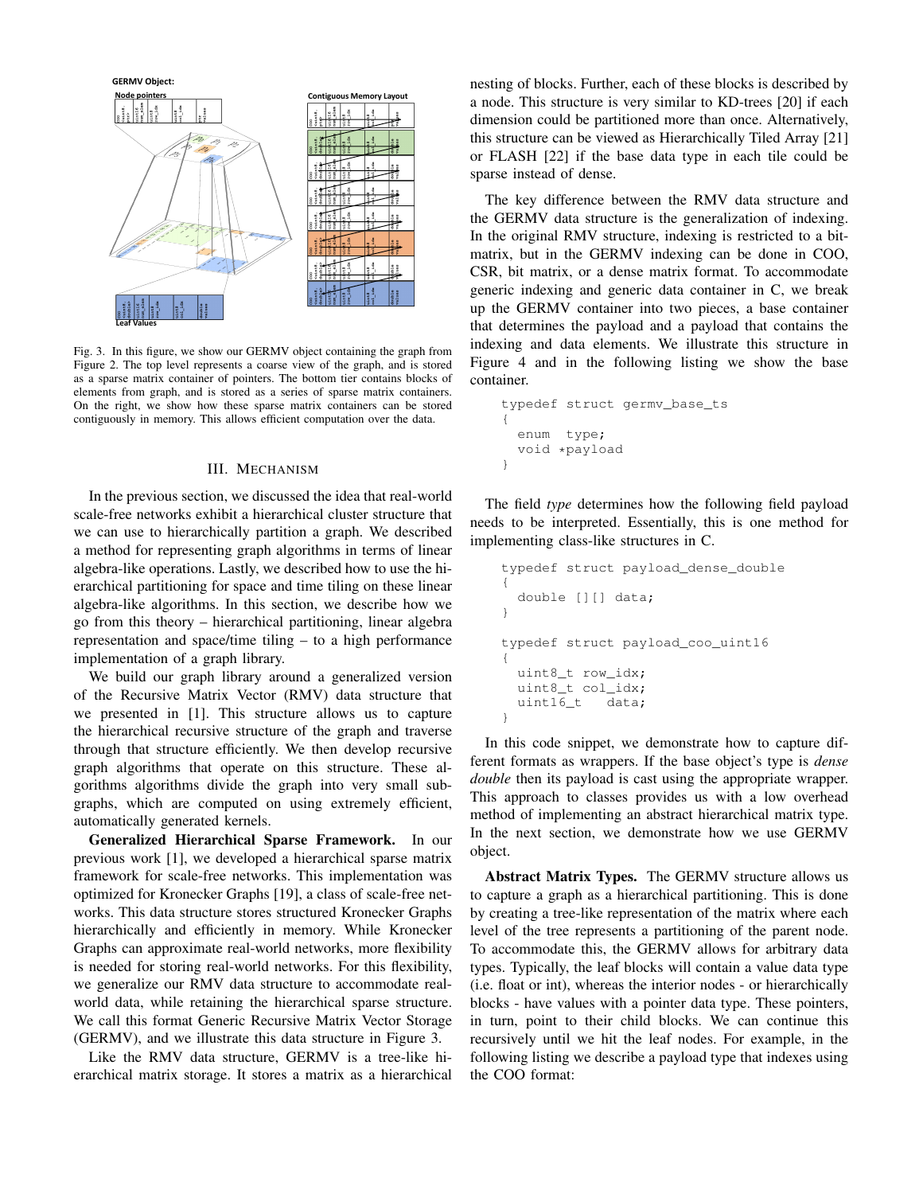

Fig. 3. In this figure, we show our GERMV object containing the graph from Figure 2. The top level represents a coarse view of the graph, and is stored as a sparse matrix container of pointers. The bottom tier contains blocks of elements from graph, and is stored as a series of sparse matrix containers. On the right, we show how these sparse matrix containers can be stored contiguously in memory. This allows efficient computation over the data.

## III. MECHANISM

In the previous section, we discussed the idea that real-world scale-free networks exhibit a hierarchical cluster structure that we can use to hierarchically partition a graph. We described a method for representing graph algorithms in terms of linear algebra-like operations. Lastly, we described how to use the hierarchical partitioning for space and time tiling on these linear algebra-like algorithms. In this section, we describe how we go from this theory – hierarchical partitioning, linear algebra representation and space/time tiling – to a high performance implementation of a graph library.

We build our graph library around a generalized version of the Recursive Matrix Vector (RMV) data structure that we presented in [1]. This structure allows us to capture the hierarchical recursive structure of the graph and traverse through that structure efficiently. We then develop recursive graph algorithms that operate on this structure. These algorithms algorithms divide the graph into very small subgraphs, which are computed on using extremely efficient, automatically generated kernels.

Generalized Hierarchical Sparse Framework. In our previous work [1], we developed a hierarchical sparse matrix framework for scale-free networks. This implementation was optimized for Kronecker Graphs [19], a class of scale-free networks. This data structure stores structured Kronecker Graphs hierarchically and efficiently in memory. While Kronecker Graphs can approximate real-world networks, more flexibility is needed for storing real-world networks. For this flexibility, we generalize our RMV data structure to accommodate realworld data, while retaining the hierarchical sparse structure. We call this format Generic Recursive Matrix Vector Storage (GERMV), and we illustrate this data structure in Figure 3.

Like the RMV data structure, GERMV is a tree-like hierarchical matrix storage. It stores a matrix as a hierarchical nesting of blocks. Further, each of these blocks is described by a node. This structure is very similar to KD-trees [20] if each dimension could be partitioned more than once. Alternatively, this structure can be viewed as Hierarchically Tiled Array [21] or FLASH [22] if the base data type in each tile could be sparse instead of dense.

The key difference between the RMV data structure and the GERMV data structure is the generalization of indexing. In the original RMV structure, indexing is restricted to a bitmatrix, but in the GERMV indexing can be done in COO, CSR, bit matrix, or a dense matrix format. To accommodate generic indexing and generic data container in C, we break up the GERMV container into two pieces, a base container that determines the payload and a payload that contains the indexing and data elements. We illustrate this structure in Figure 4 and in the following listing we show the base container.

```
typedef struct germv_base_ts
{
  enum type;
  void *payload
}
```
The field *type* determines how the following field payload needs to be interpreted. Essentially, this is one method for implementing class-like structures in C.

```
typedef struct payload_dense_double
{
  double [][] data;
}
typedef struct payload_coo_uint16
{
  uint8_t row_idx;
  uint8_t col_idx;
  uint16_t data;
}
```
In this code snippet, we demonstrate how to capture different formats as wrappers. If the base object's type is *dense double* then its payload is cast using the appropriate wrapper. This approach to classes provides us with a low overhead method of implementing an abstract hierarchical matrix type. In the next section, we demonstrate how we use GERMV object.

Abstract Matrix Types. The GERMV structure allows us to capture a graph as a hierarchical partitioning. This is done by creating a tree-like representation of the matrix where each level of the tree represents a partitioning of the parent node. To accommodate this, the GERMV allows for arbitrary data types. Typically, the leaf blocks will contain a value data type (i.e. float or int), whereas the interior nodes - or hierarchically blocks - have values with a pointer data type. These pointers, in turn, point to their child blocks. We can continue this recursively until we hit the leaf nodes. For example, in the following listing we describe a payload type that indexes using the COO format: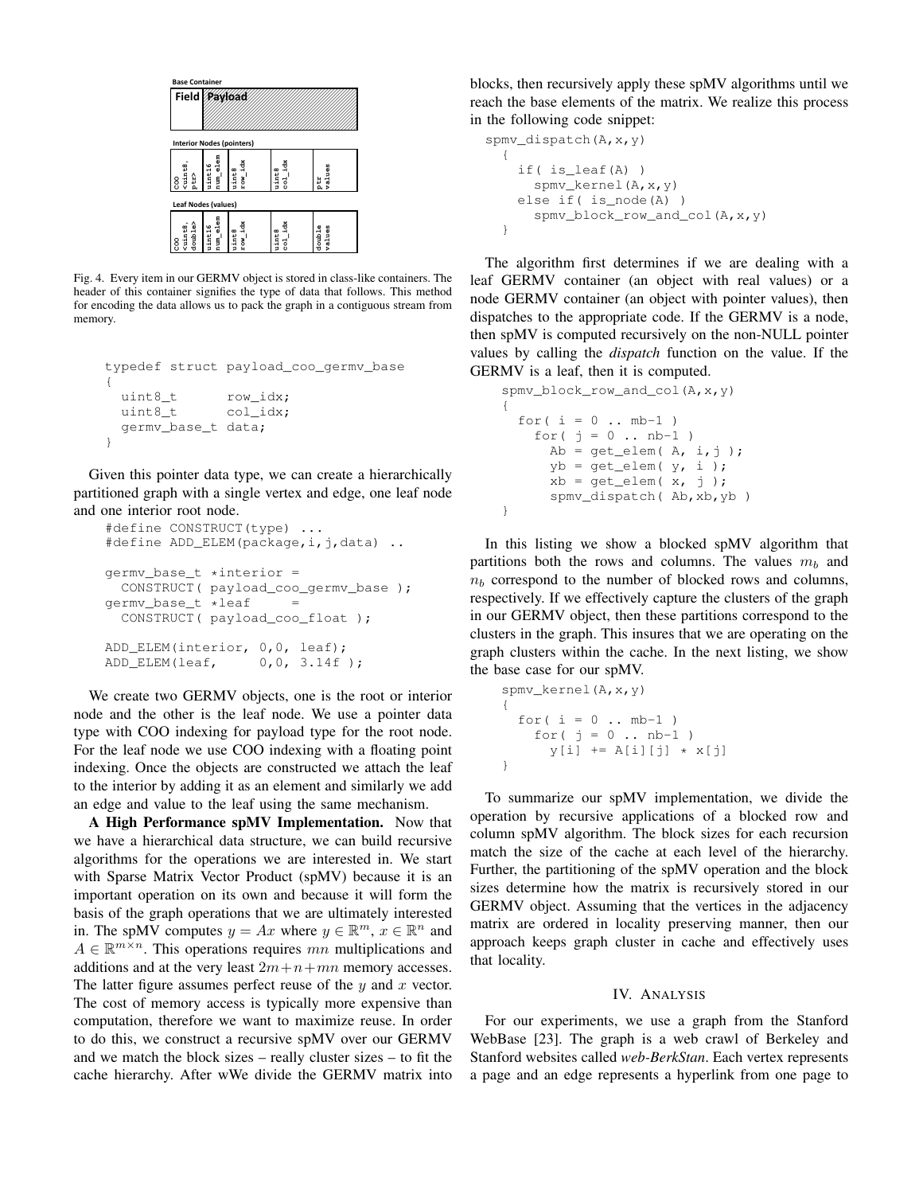

Fig. 4. Every item in our GERMV object is stored in class-like containers. The header of this container signifies the type of data that follows. This method for encoding the data allows us to pack the graph in a contiguous stream from memory.

```
typedef struct payload_coo_germv_base
{
 uint8_t row_idx;
 uint8_t col_idx;
 germv_base_t data;
}
```
Given this pointer data type, we can create a hierarchically partitioned graph with a single vertex and edge, one leaf node and one interior root node.

```
#define CONSTRUCT(type) ...
#define ADD_ELEM(package,i,j,data) ..
germv_base_t *interior =
 CONSTRUCT( payload_coo_germv_base );
germv_base_t *leaf =
 CONSTRUCT( payload_coo_float );
ADD_ELEM(interior, 0,0, leaf);
ADD_ELEM(leaf, 0,0, 3.14f );
```
We create two GERMV objects, one is the root or interior node and the other is the leaf node. We use a pointer data type with COO indexing for payload type for the root node. For the leaf node we use COO indexing with a floating point indexing. Once the objects are constructed we attach the leaf to the interior by adding it as an element and similarly we add an edge and value to the leaf using the same mechanism.

A High Performance spMV Implementation. Now that we have a hierarchical data structure, we can build recursive algorithms for the operations we are interested in. We start with Sparse Matrix Vector Product (spMV) because it is an important operation on its own and because it will form the basis of the graph operations that we are ultimately interested in. The spMV computes  $y = Ax$  where  $y \in \mathbb{R}^m$ ,  $x \in \mathbb{R}^n$  and  $A \in \mathbb{R}^{m \times n}$ . This operations requires mn multiplications and additions and at the very least  $2m+n+mn$  memory accesses. The latter figure assumes perfect reuse of the  $y$  and  $x$  vector. The cost of memory access is typically more expensive than computation, therefore we want to maximize reuse. In order to do this, we construct a recursive spMV over our GERMV and we match the block sizes – really cluster sizes – to fit the cache hierarchy. After wWe divide the GERMV matrix into

blocks, then recursively apply these spMV algorithms until we reach the base elements of the matrix. We realize this process in the following code snippet:

```
spmv_dispatch(A,x,y)
  {
    if( is_leaf(A) )
      spmv_kernel(A,x,y)
    else if( is_node(A) )
      spmv_block_row_and_col(A,x,y)
 }
```
The algorithm first determines if we are dealing with a leaf GERMV container (an object with real values) or a node GERMV container (an object with pointer values), then dispatches to the appropriate code. If the GERMV is a node, then spMV is computed recursively on the non-NULL pointer values by calling the *dispatch* function on the value. If the GERMV is a leaf, then it is computed.

```
spmv_block_row_and_col(A,x,y)
{
  for( i = 0 ... mb-1 )
    for( j = 0 ... nb-1 )
      Ab = get\_elem( A, i, j);yb = get\_elem(y, i);xb = get\_elem(x, j);spmv_dispatch( Ab,xb,yb )
}
```
In this listing we show a blocked spMV algorithm that partitions both the rows and columns. The values  $m_b$  and  $n_b$  correspond to the number of blocked rows and columns, respectively. If we effectively capture the clusters of the graph in our GERMV object, then these partitions correspond to the clusters in the graph. This insures that we are operating on the graph clusters within the cache. In the next listing, we show the base case for our spMV.

```
spmv_kernel(A,x,y)
{
  for( i = 0 ... mb-1 )
    for( j = 0 ... nb-1 )
      y[i] += A[i][j] * x[j]
}
```
To summarize our spMV implementation, we divide the operation by recursive applications of a blocked row and column spMV algorithm. The block sizes for each recursion match the size of the cache at each level of the hierarchy. Further, the partitioning of the spMV operation and the block sizes determine how the matrix is recursively stored in our GERMV object. Assuming that the vertices in the adjacency matrix are ordered in locality preserving manner, then our approach keeps graph cluster in cache and effectively uses that locality.

## IV. ANALYSIS

For our experiments, we use a graph from the Stanford WebBase [23]. The graph is a web crawl of Berkeley and Stanford websites called *web-BerkStan*. Each vertex represents a page and an edge represents a hyperlink from one page to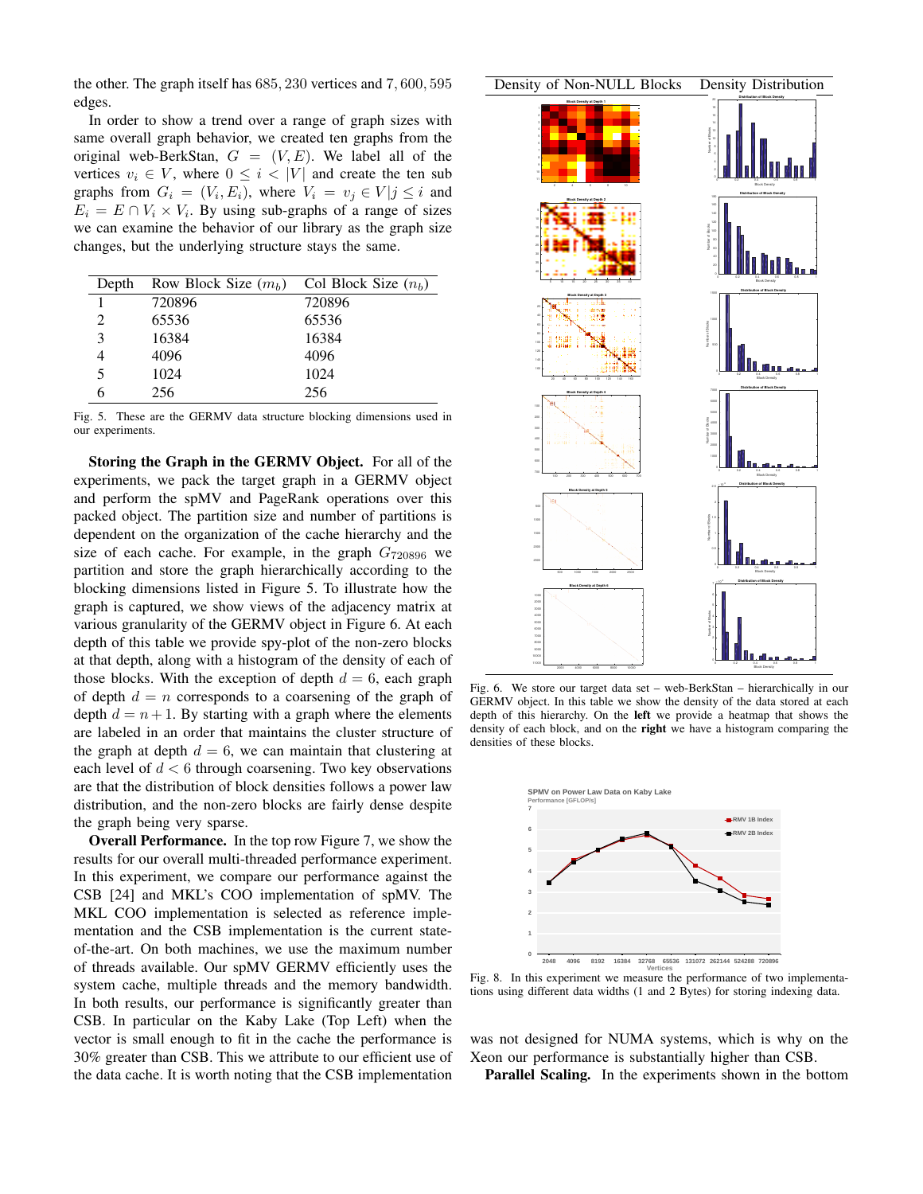the other. The graph itself has 685, 230 vertices and 7, 600, 595 edges.

In order to show a trend over a range of graph sizes with same overall graph behavior, we created ten graphs from the original web-BerkStan,  $G = (V, E)$ . We label all of the vertices  $v_i \in V$ , where  $0 \leq i \leq |V|$  and create the ten sub graphs from  $G_i = (V_i, E_i)$ , where  $V_i = v_j \in V | j \le i$  and  $E_i = E \cap V_i \times V_i$ . By using sub-graphs of a range of sizes we can examine the behavior of our library as the graph size changes, but the underlying structure stays the same.

| Depth | Row Block Size $(m_h)$ Col Block Size $(n_h)$ |        |
|-------|-----------------------------------------------|--------|
|       | 720896                                        | 720896 |
| 2     | 65536                                         | 65536  |
| 3     | 16384                                         | 16384  |
| 4     | 4096                                          | 4096   |
| 5     | 1024                                          | 1024   |
|       | 256                                           | 256    |

Fig. 5. These are the GERMV data structure blocking dimensions used in our experiments.

Storing the Graph in the GERMV Object. For all of the experiments, we pack the target graph in a GERMV object and perform the spMV and PageRank operations over this packed object. The partition size and number of partitions is dependent on the organization of the cache hierarchy and the size of each cache. For example, in the graph  $G_{720896}$  we partition and store the graph hierarchically according to the blocking dimensions listed in Figure 5. To illustrate how the graph is captured, we show views of the adjacency matrix at various granularity of the GERMV object in Figure 6. At each depth of this table we provide spy-plot of the non-zero blocks at that depth, along with a histogram of the density of each of those blocks. With the exception of depth  $d = 6$ , each graph of depth  $d = n$  corresponds to a coarsening of the graph of depth  $d = n + 1$ . By starting with a graph where the elements are labeled in an order that maintains the cluster structure of the graph at depth  $d = 6$ , we can maintain that clustering at each level of  $d < 6$  through coarsening. Two key observations are that the distribution of block densities follows a power law distribution, and the non-zero blocks are fairly dense despite the graph being very sparse.

Overall Performance. In the top row Figure 7, we show the results for our overall multi-threaded performance experiment. In this experiment, we compare our performance against the CSB [24] and MKL's COO implementation of spMV. The MKL COO implementation is selected as reference implementation and the CSB implementation is the current stateof-the-art. On both machines, we use the maximum number of threads available. Our spMV GERMV efficiently uses the system cache, multiple threads and the memory bandwidth. In both results, our performance is significantly greater than CSB. In particular on the Kaby Lake (Top Left) when the vector is small enough to fit in the cache the performance is 30% greater than CSB. This we attribute to our efficient use of the data cache. It is worth noting that the CSB implementation



Fig. 6. We store our target data set – web-BerkStan – hierarchically in our GERMV object. In this table we show the density of the data stored at each depth of this hierarchy. On the left we provide a heatmap that shows the density of each block, and on the right we have a histogram comparing the densities of these blocks.



Fig. 8. In this experiment we measure the performance of two implementations using different data widths (1 and 2 Bytes) for storing indexing data.

was not designed for NUMA systems, which is why on the Xeon our performance is substantially higher than CSB.

Parallel Scaling. In the experiments shown in the bottom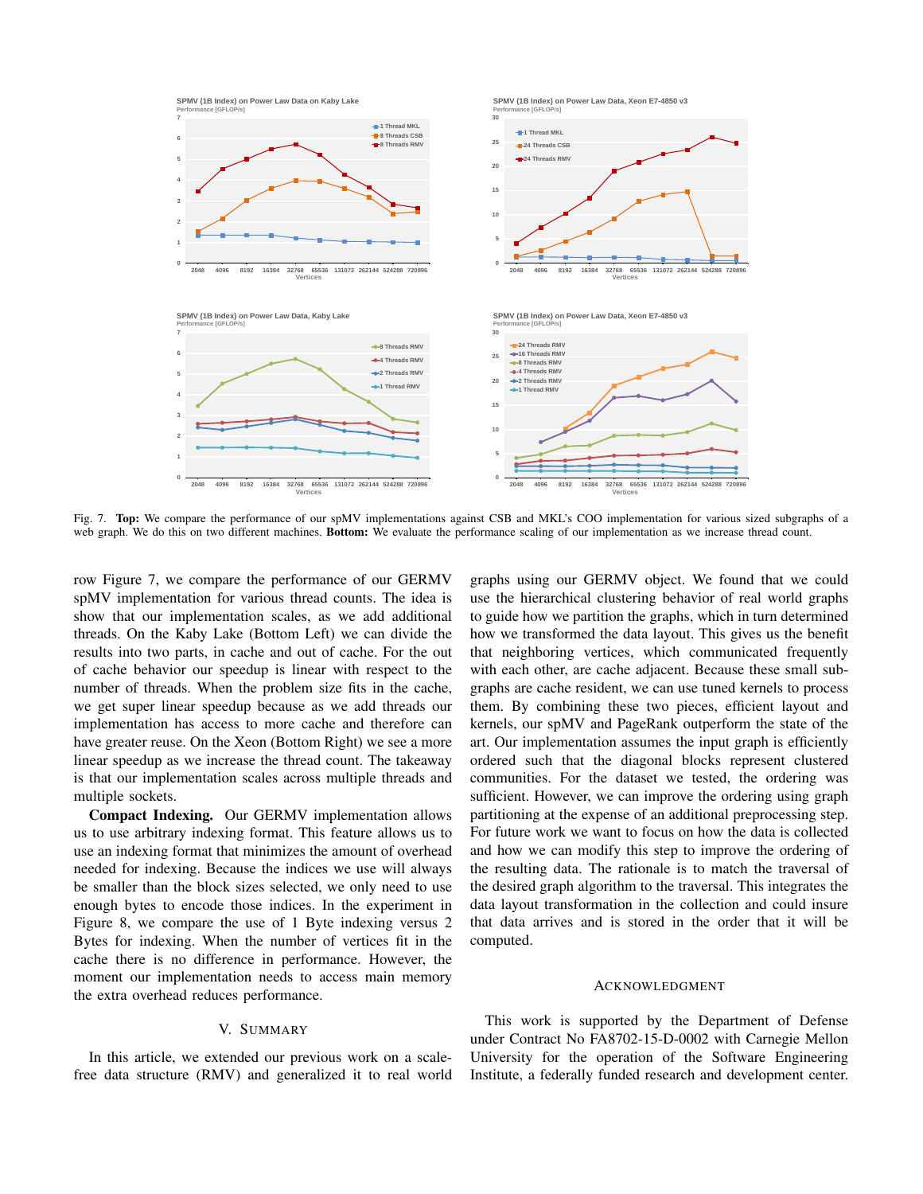

Fig. 7. Top: We compare the performance of our spMV implementations against CSB and MKL's COO implementation for various sized subgraphs of a web graph. We do this on two different machines. Bottom: We evaluate the performance scaling of our implementation as we increase thread count.

row Figure 7, we compare the performance of our GERMV spMV implementation for various thread counts. The idea is show that our implementation scales, as we add additional threads. On the Kaby Lake (Bottom Left) we can divide the results into two parts, in cache and out of cache. For the out of cache behavior our speedup is linear with respect to the number of threads. When the problem size fits in the cache, we get super linear speedup because as we add threads our implementation has access to more cache and therefore can have greater reuse. On the Xeon (Bottom Right) we see a more linear speedup as we increase the thread count. The takeaway is that our implementation scales across multiple threads and multiple sockets.

Compact Indexing. Our GERMV implementation allows us to use arbitrary indexing format. This feature allows us to use an indexing format that minimizes the amount of overhead needed for indexing. Because the indices we use will always be smaller than the block sizes selected, we only need to use enough bytes to encode those indices. In the experiment in Figure 8, we compare the use of 1 Byte indexing versus 2 Bytes for indexing. When the number of vertices fit in the cache there is no difference in performance. However, the moment our implementation needs to access main memory the extra overhead reduces performance.

## V. SUMMARY

In this article, we extended our previous work on a scalefree data structure (RMV) and generalized it to real world graphs using our GERMV object. We found that we could use the hierarchical clustering behavior of real world graphs to guide how we partition the graphs, which in turn determined how we transformed the data layout. This gives us the benefit that neighboring vertices, which communicated frequently with each other, are cache adjacent. Because these small subgraphs are cache resident, we can use tuned kernels to process them. By combining these two pieces, efficient layout and kernels, our spMV and PageRank outperform the state of the art. Our implementation assumes the input graph is efficiently ordered such that the diagonal blocks represent clustered communities. For the dataset we tested, the ordering was sufficient. However, we can improve the ordering using graph partitioning at the expense of an additional preprocessing step. For future work we want to focus on how the data is collected and how we can modify this step to improve the ordering of the resulting data. The rationale is to match the traversal of the desired graph algorithm to the traversal. This integrates the data layout transformation in the collection and could insure that data arrives and is stored in the order that it will be computed.

## ACKNOWLEDGMENT

This work is supported by the Department of Defense under Contract No FA8702-15-D-0002 with Carnegie Mellon University for the operation of the Software Engineering Institute, a federally funded research and development center.